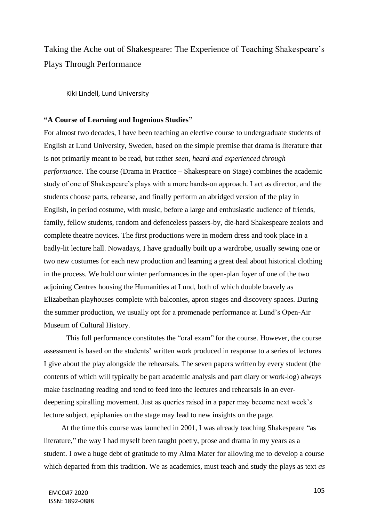Taking the Ache out of Shakespeare: The Experience of Teaching Shakespeare's Plays Through Performance

Kiki Lindell, Lund University

# **"A Course of Learning and Ingenious Studies"**

For almost two decades, I have been teaching an elective course to undergraduate students of English at Lund University, Sweden, based on the simple premise that drama is literature that is not primarily meant to be read, but rather *seen, heard and experienced through performance*. The course (Drama in Practice – Shakespeare on Stage) combines the academic study of one of Shakespeare's plays with a more hands-on approach. I act as director, and the students choose parts, rehearse, and finally perform an abridged version of the play in English, in period costume, with music, before a large and enthusiastic audience of friends, family, fellow students, random and defenceless passers-by, die-hard Shakespeare zealots and complete theatre novices. The first productions were in modern dress and took place in a badly-lit lecture hall. Nowadays, I have gradually built up a wardrobe, usually sewing one or two new costumes for each new production and learning a great deal about historical clothing in the process. We hold our winter performances in the open-plan foyer of one of the two adjoining Centres housing the Humanities at Lund, both of which double bravely as Elizabethan playhouses complete with balconies, apron stages and discovery spaces. During the summer production, we usually opt for a promenade performance at Lund's Open-Air Museum of Cultural History.

This full performance constitutes the "oral exam" for the course. However, the course assessment is based on the students' written work produced in response to a series of lectures I give about the play alongside the rehearsals. The seven papers written by every student (the contents of which will typically be part academic analysis and part diary or work-log) always make fascinating reading and tend to feed into the lectures and rehearsals in an everdeepening spiralling movement. Just as queries raised in a paper may become next week's lecture subject, epiphanies on the stage may lead to new insights on the page.

At the time this course was launched in 2001, I was already teaching Shakespeare "as literature," the way I had myself been taught poetry, prose and drama in my years as a student. I owe a huge debt of gratitude to my Alma Mater for allowing me to develop a course which departed from this tradition. We as academics, must teach and study the plays as text *as*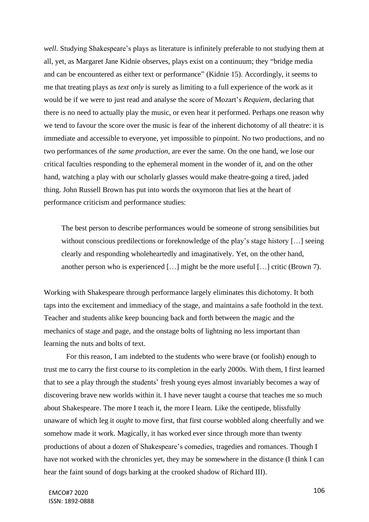*well*. Studying Shakespeare's plays as literature is infinitely preferable to not studying them at all, yet, as Margaret Jane Kidnie observes, plays exist on a continuum; they "bridge media and can be encountered as either text or performance" (Kidnie 15). Accordingly, it seems to me that treating plays as *text only* is surely as limiting to a full experience of the work as it would be if we were to just read and analyse the score of Mozart's *Requiem,* declaring that there is no need to actually play the music, or even hear it performed. Perhaps one reason why we tend to favour the score over the music is fear of the inherent dichotomy of all theatre: it is immediate and accessible to everyone, yet impossible to pinpoint. No two productions, and no two performances of *the same production*, are ever the same. On the one hand, we lose our critical faculties responding to the ephemeral moment in the wonder of it, and on the other hand, watching a play with our scholarly glasses would make theatre-going a tired, jaded thing. John Russell Brown has put into words the oxymoron that lies at the heart of performance criticism and performance studies:

The best person to describe performances would be someone of strong sensibilities but without conscious predilections or foreknowledge of the play's stage history [...] seeing clearly and responding wholeheartedly and imaginatively. Yet, on the other hand, another person who is experienced […] might be the more useful […] critic (Brown 7).

Working with Shakespeare through performance largely eliminates this dichotomy. It both taps into the excitement and immediacy of the stage, and maintains a safe foothold in the text. Teacher and students alike keep bouncing back and forth between the magic and the mechanics of stage and page, and the onstage bolts of lightning no less important than learning the nuts and bolts of text.

For this reason, I am indebted to the students who were brave (or foolish) enough to trust me to carry the first course to its completion in the early 2000s. With them, I first learned that to see a play through the students' fresh young eyes almost invariably becomes a way of discovering brave new worlds within it. I have never taught a course that teaches me so much about Shakespeare. The more I teach it, the more I learn. Like the centipede, blissfully unaware of which leg it *ought* to move first, that first course wobbled along cheerfully and we somehow made it work. Magically, it has worked ever since through more than twenty productions of about a dozen of Shakespeare's comedies, tragedies and romances. Though I have not worked with the chronicles yet, they may be somewhere in the distance (I think I can hear the faint sound of dogs barking at the crooked shadow of Richard III).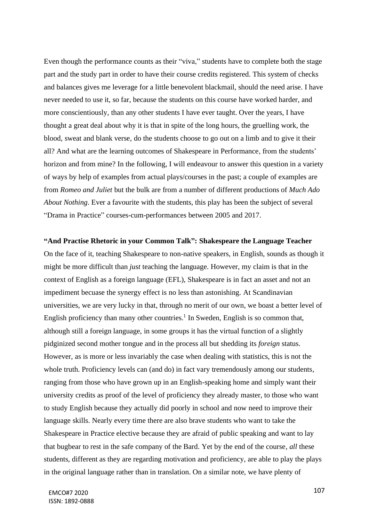Even though the performance counts as their "viva," students have to complete both the stage part and the study part in order to have their course credits registered. This system of checks and balances gives me leverage for a little benevolent blackmail, should the need arise. I have never needed to use it, so far, because the students on this course have worked harder, and more conscientiously, than any other students I have ever taught. Over the years, I have thought a great deal about why it is that in spite of the long hours, the gruelling work, the blood, sweat and blank verse, do the students choose to go out on a limb and to give it their all? And what are the learning outcomes of Shakespeare in Performance, from the students' horizon and from mine? In the following, I will endeavour to answer this question in a variety of ways by help of examples from actual plays/courses in the past; a couple of examples are from *Romeo and Juliet* but the bulk are from a number of different productions of *Much Ado About Nothing*. Ever a favourite with the students, this play has been the subject of several "Drama in Practice" courses-cum-performances between 2005 and 2017.

#### **"And Practise Rhetoric in your Common Talk": Shakespeare the Language Teacher**

On the face of it, teaching Shakespeare to non-native speakers, in English, sounds as though it might be more difficult than *just* teaching the language. However, my claim is that in the context of English as a foreign language (EFL), Shakespeare is in fact an asset and not an impediment becuase the synergy effect is no less than astonishing. At Scandinavian universities, we are very lucky in that, through no merit of our own, we boast a better level of English proficiency than many other countries.<sup>1</sup> In Sweden, English is so common that, although still a foreign language, in some groups it has the virtual function of a slightly pidginized second mother tongue and in the process all but shedding its *foreign* status. However, as is more or less invariably the case when dealing with statistics, this is not the whole truth. Proficiency levels can (and do) in fact vary tremendously among our students, ranging from those who have grown up in an English-speaking home and simply want their university credits as proof of the level of proficiency they already master, to those who want to study English because they actually did poorly in school and now need to improve their language skills. Nearly every time there are also brave students who want to take the Shakespeare in Practice elective because they are afraid of public speaking and want to lay that bugbear to rest in the safe company of the Bard. Yet by the end of the course, *all* these students, different as they are regarding motivation and proficiency, are able to play the plays in the original language rather than in translation. On a similar note, we have plenty of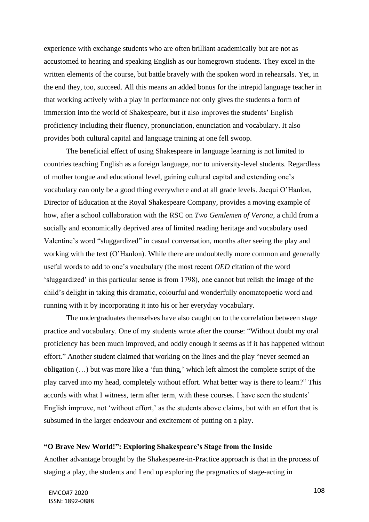experience with exchange students who are often brilliant academically but are not as accustomed to hearing and speaking English as our homegrown students. They excel in the written elements of the course, but battle bravely with the spoken word in rehearsals. Yet, in the end they, too, succeed. All this means an added bonus for the intrepid language teacher in that working actively with a play in performance not only gives the students a form of immersion into the world of Shakespeare, but it also improves the students' English proficiency including their fluency, pronunciation, enunciation and vocabulary. It also provides both cultural capital and language training at one fell swoop.

The beneficial effect of using Shakespeare in language learning is not limited to countries teaching English as a foreign language, nor to university-level students. Regardless of mother tongue and educational level, gaining cultural capital and extending one's vocabulary can only be a good thing everywhere and at all grade levels. Jacqui O'Hanlon, Director of Education at the Royal Shakespeare Company, provides a moving example of how, after a school collaboration with the RSC on *Two Gentlemen of Verona*, a child from a socially and economically deprived area of limited reading heritage and vocabulary used Valentine's word "sluggardized" in casual conversation, months after seeing the play and working with the text (O'Hanlon). While there are undoubtedly more common and generally useful words to add to one's vocabulary (the most recent *OED* citation of the word 'sluggardized' in this particular sense is from 1798), one cannot but relish the image of the child's delight in taking this dramatic, colourful and wonderfully onomatopoetic word and running with it by incorporating it into his or her everyday vocabulary.

The undergraduates themselves have also caught on to the correlation between stage practice and vocabulary. One of my students wrote after the course: "Without doubt my oral proficiency has been much improved, and oddly enough it seems as if it has happened without effort." Another student claimed that working on the lines and the play "never seemed an obligation (…) but was more like a 'fun thing,' which left almost the complete script of the play carved into my head, completely without effort. What better way is there to learn?" This accords with what I witness, term after term, with these courses. I have seen the students' English improve, not 'without effort,' as the students above claims, but with an effort that is subsumed in the larger endeavour and excitement of putting on a play.

### **"O Brave New World!": Exploring Shakespeare's Stage from the Inside**

Another advantage brought by the Shakespeare-in-Practice approach is that in the process of staging a play, the students and I end up exploring the pragmatics of stage-acting in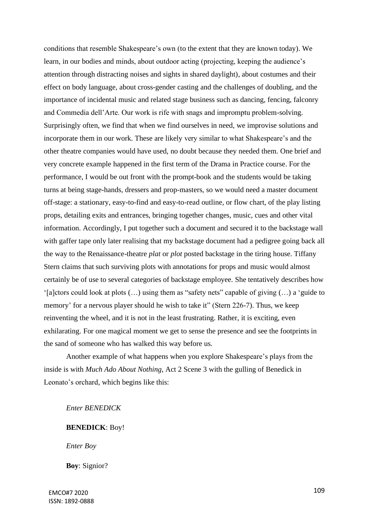conditions that resemble Shakespeare's own (to the extent that they are known today). We learn, in our bodies and minds, about outdoor acting (projecting, keeping the audience's attention through distracting noises and sights in shared daylight), about costumes and their effect on body language, about cross-gender casting and the challenges of doubling, and the importance of incidental music and related stage business such as dancing, fencing, falconry and Commedia dell'Arte. Our work is rife with snags and impromptu problem-solving. Surprisingly often, we find that when we find ourselves in need, we improvise solutions and incorporate them in our work. These are likely very similar to what Shakespeare's and the other theatre companies would have used, no doubt because they needed them. One brief and very concrete example happened in the first term of the Drama in Practice course. For the performance, I would be out front with the prompt-book and the students would be taking turns at being stage-hands, dressers and prop-masters, so we would need a master document off-stage: a stationary, easy-to-find and easy-to-read outline, or flow chart, of the play listing props, detailing exits and entrances, bringing together changes, music, cues and other vital information. Accordingly, I put together such a document and secured it to the backstage wall with gaffer tape only later realising that my backstage document had a pedigree going back all the way to the Renaissance-theatre *plat* or *plot* posted backstage in the tiring house. Tiffany Stern claims that such surviving plots with annotations for props and music would almost certainly be of use to several categories of backstage employee. She tentatively describes how '[a]ctors could look at plots (…) using them as "safety nets" capable of giving (…) a 'guide to memory' for a nervous player should he wish to take it" (Stern 226-7). Thus, we keep reinventing the wheel, and it is not in the least frustrating. Rather, it is exciting, even exhilarating. For one magical moment we get to sense the presence and see the footprints in the sand of someone who has walked this way before us.

Another example of what happens when you explore Shakespeare's plays from the inside is with *Much Ado About Nothing*, Act 2 Scene 3 with the gulling of Benedick in Leonato's orchard, which begins like this:

*Enter BENEDICK*

**BENEDICK**: Boy!

*Enter Boy*

**Boy**: Signior?

109 EMCO#7 2020 ISSN: 1892-0888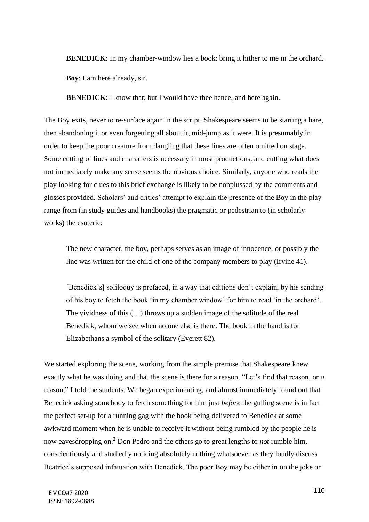**BENEDICK:** In my chamber-window lies a book: bring it hither to me in the orchard. **Boy**: I am here already, sir.

**BENEDICK:** I know that; but I would have thee hence, and here again.

The Boy exits, never to re-surface again in the script. Shakespeare seems to be starting a hare, then abandoning it or even forgetting all about it, mid-jump as it were. It is presumably in order to keep the poor creature from dangling that these lines are often omitted on stage. Some cutting of lines and characters is necessary in most productions, and cutting what does not immediately make any sense seems the obvious choice. Similarly, anyone who reads the play looking for clues to this brief exchange is likely to be nonplussed by the comments and glosses provided. Scholars' and critics' attempt to explain the presence of the Boy in the play range from (in study guides and handbooks) the pragmatic or pedestrian to (in scholarly works) the esoteric:

The new character, the boy, perhaps serves as an image of innocence, or possibly the line was written for the child of one of the company members to play (Irvine 41).

[Benedick's] soliloquy is prefaced, in a way that editions don't explain, by his sending of his boy to fetch the book 'in my chamber window' for him to read 'in the orchard'. The vividness of this (…) throws up a sudden image of the solitude of the real Benedick, whom we see when no one else is there. The book in the hand is for Elizabethans a symbol of the solitary (Everett 82).

We started exploring the scene, working from the simple premise that Shakespeare knew exactly what he was doing and that the scene is there for a reason. "Let's find that reason, or *a* reason," I told the students. We began experimenting, and almost immediately found out that Benedick asking somebody to fetch something for him just *before* the gulling scene is in fact the perfect set-up for a running gag with the book being delivered to Benedick at some awkward moment when he is unable to receive it without being rumbled by the people he is now eavesdropping on.<sup>2</sup> Don Pedro and the others go to great lengths to *not* rumble him, conscientiously and studiedly noticing absolutely nothing whatsoever as they loudly discuss Beatrice's supposed infatuation with Benedick. The poor Boy may be either in on the joke or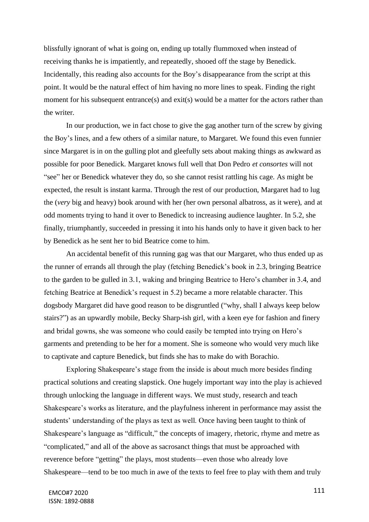blissfully ignorant of what is going on, ending up totally flummoxed when instead of receiving thanks he is impatiently, and repeatedly, shooed off the stage by Benedick. Incidentally, this reading also accounts for the Boy's disappearance from the script at this point. It would be the natural effect of him having no more lines to speak. Finding the right moment for his subsequent entrance(s) and exit(s) would be a matter for the actors rather than the writer.

In our production, we in fact chose to give the gag another turn of the screw by giving the Boy's lines, and a few others of a similar nature, to Margaret. We found this even funnier since Margaret is in on the gulling plot and gleefully sets about making things as awkward as possible for poor Benedick. Margaret knows full well that Don Pedro *et consortes* will not "see" her or Benedick whatever they do, so she cannot resist rattling his cage. As might be expected, the result is instant karma. Through the rest of our production, Margaret had to lug the (*very* big and heavy) book around with her (her own personal albatross, as it were), and at odd moments trying to hand it over to Benedick to increasing audience laughter. In 5.2, she finally, triumphantly, succeeded in pressing it into his hands only to have it given back to her by Benedick as he sent her to bid Beatrice come to him.

An accidental benefit of this running gag was that our Margaret, who thus ended up as the runner of errands all through the play (fetching Benedick's book in 2.3, bringing Beatrice to the garden to be gulled in 3.1, waking and bringing Beatrice to Hero's chamber in 3.4, and fetching Beatrice at Benedick's request in 5.2) became a more relatable character. This dogsbody Margaret did have good reason to be disgruntled ("why, shall I always keep below stairs?") as an upwardly mobile, Becky Sharp-ish girl, with a keen eye for fashion and finery and bridal gowns, she was someone who could easily be tempted into trying on Hero's garments and pretending to be her for a moment. She is someone who would very much like to captivate and capture Benedick, but finds she has to make do with Borachio.

Exploring Shakespeare's stage from the inside is about much more besides finding practical solutions and creating slapstick. One hugely important way into the play is achieved through unlocking the language in different ways. We must study, research and teach Shakespeare's works as literature, and the playfulness inherent in performance may assist the students' understanding of the plays as text as well. Once having been taught to think of Shakespeare's language as "difficult," the concepts of imagery, rhetoric, rhyme and metre as "complicated," and all of the above as sacrosanct things that must be approached with reverence before "getting" the plays, most students—even those who already love Shakespeare—tend to be too much in awe of the texts to feel free to play with them and truly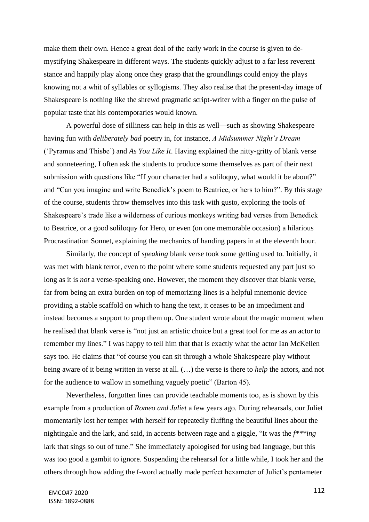make them their own. Hence a great deal of the early work in the course is given to demystifying Shakespeare in different ways. The students quickly adjust to a far less reverent stance and happily play along once they grasp that the groundlings could enjoy the plays knowing not a whit of syllables or syllogisms. They also realise that the present-day image of Shakespeare is nothing like the shrewd pragmatic script-writer with a finger on the pulse of popular taste that his contemporaries would known.

A powerful dose of silliness can help in this as well—such as showing Shakespeare having fun with *deliberately bad* poetry in, for instance, *A Midsummer Night's Dream* ('Pyramus and Thisbe') and *As You Like It*. Having explained the nitty-gritty of blank verse and sonneteering, I often ask the students to produce some themselves as part of their next submission with questions like "If your character had a soliloquy, what would it be about?" and "Can you imagine and write Benedick's poem to Beatrice, or hers to him?". By this stage of the course, students throw themselves into this task with gusto, exploring the tools of Shakespeare's trade like a wilderness of curious monkeys writing bad verses from Benedick to Beatrice, or a good soliloquy for Hero, or even (on one memorable occasion) a hilarious Procrastination Sonnet, explaining the mechanics of handing papers in at the eleventh hour.

Similarly, the concept of *speaking* blank verse took some getting used to. Initially, it was met with blank terror, even to the point where some students requested any part just so long as it is *not* a verse-speaking one. However, the moment they discover that blank verse, far from being an extra burden on top of memorizing lines is a helpful mnemonic device providing a stable scaffold on which to hang the text, it ceases to be an impediment and instead becomes a support to prop them up. One student wrote about the magic moment when he realised that blank verse is "not just an artistic choice but a great tool for me as an actor to remember my lines." I was happy to tell him that that is exactly what the actor Ian McKellen says too. He claims that "of course you can sit through a whole Shakespeare play without being aware of it being written in verse at all. (…) the verse is there to *help* the actors, and not for the audience to wallow in something vaguely poetic" (Barton 45).

Nevertheless, forgotten lines can provide teachable moments too, as is shown by this example from a production of *Romeo and Juliet* a few years ago. During rehearsals, our Juliet momentarily lost her temper with herself for repeatedly fluffing the beautiful lines about the nightingale and the lark, and said, in accents between rage and a giggle, "It was the *f\*\*\*ing* lark that sings so out of tune." She immediately apologised for using bad language, but this was too good a gambit to ignore. Suspending the rehearsal for a little while, I took her and the others through how adding the f-word actually made perfect hexameter of Juliet's pentameter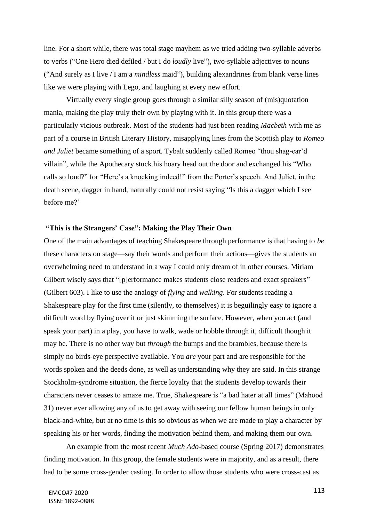line. For a short while, there was total stage mayhem as we tried adding two-syllable adverbs to verbs ("One Hero died defiled / but I do *loudly* live"), two-syllable adjectives to nouns ("And surely as I live / I am a *mindless* maid"), building alexandrines from blank verse lines like we were playing with Lego, and laughing at every new effort.

Virtually every single group goes through a similar silly season of (mis)quotation mania, making the play truly their own by playing with it. In this group there was a particularly vicious outbreak. Most of the students had just been reading *Macbeth* with me as part of a course in British Literary History, misapplying lines from the Scottish play to *Romeo and Juliet* became something of a sport. Tybalt suddenly called Romeo "thou shag-ear'd villain", while the Apothecary stuck his hoary head out the door and exchanged his "Who calls so loud?" for "Here's a knocking indeed!" from the Porter's speech. And Juliet, in the death scene, dagger in hand, naturally could not resist saying "Is this a dagger which I see before me?'

# **"This is the Strangers' Case": Making the Play Their Own**

One of the main advantages of teaching Shakespeare through performance is that having to *be* these characters on stage—say their words and perform their actions—gives the students an overwhelming need to understand in a way I could only dream of in other courses. Miriam Gilbert wisely says that "[p]erformance makes students close readers and exact speakers" (Gilbert 603). I like to use the analogy of *flying* and *walking*. For students reading a Shakespeare play for the first time (silently, to themselves) it is beguilingly easy to ignore a difficult word by flying over it or just skimming the surface. However, when you act (and speak your part) in a play, you have to walk, wade or hobble through it, difficult though it may be. There is no other way but *through* the bumps and the brambles, because there is simply no birds-eye perspective available. You *are* your part and are responsible for the words spoken and the deeds done, as well as understanding why they are said. In this strange Stockholm-syndrome situation, the fierce loyalty that the students develop towards their characters never ceases to amaze me. True, Shakespeare is "a bad hater at all times" (Mahood 31) never ever allowing any of us to get away with seeing our fellow human beings in only black-and-white, but at no time is this so obvious as when we are made to play a character by speaking his or her words, finding the motivation behind them, and making them our own.

An example from the most recent *Much Ado*-based course (Spring 2017) demonstrates finding motivation. In this group, the female students were in majority, and as a result, there had to be some cross-gender casting. In order to allow those students who were cross-cast as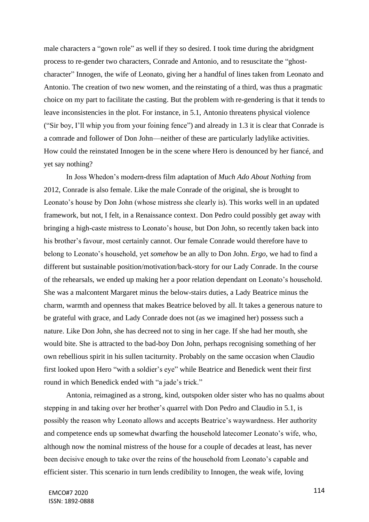male characters a "gown role" as well if they so desired. I took time during the abridgment process to re-gender two characters, Conrade and Antonio, and to resuscitate the "ghostcharacter" Innogen, the wife of Leonato, giving her a handful of lines taken from Leonato and Antonio. The creation of two new women, and the reinstating of a third, was thus a pragmatic choice on my part to facilitate the casting. But the problem with re-gendering is that it tends to leave inconsistencies in the plot. For instance, in 5.1, Antonio threatens physical violence ("Sir boy, I'll whip you from your foining fence") and already in 1.3 it is clear that Conrade is a comrade and follower of Don John—neither of these are particularly ladylike activities. How could the reinstated Innogen be in the scene where Hero is denounced by her fiancé, and yet say nothing?

In Joss Whedon's modern-dress film adaptation of *Much Ado About Nothing* from 2012, Conrade is also female. Like the male Conrade of the original, she is brought to Leonato's house by Don John (whose mistress she clearly is). This works well in an updated framework, but not, I felt, in a Renaissance context. Don Pedro could possibly get away with bringing a high-caste mistress to Leonato's house, but Don John, so recently taken back into his brother's favour, most certainly cannot. Our female Conrade would therefore have to belong to Leonato's household, yet *somehow* be an ally to Don John. *Ergo*, we had to find a different but sustainable position/motivation/back-story for our Lady Conrade. In the course of the rehearsals, we ended up making her a poor relation dependant on Leonato's household. She was a malcontent Margaret minus the below-stairs duties, a Lady Beatrice minus the charm, warmth and openness that makes Beatrice beloved by all. It takes a generous nature to be grateful with grace, and Lady Conrade does not (as we imagined her) possess such a nature. Like Don John, she has decreed not to sing in her cage. If she had her mouth, she would bite. She is attracted to the bad-boy Don John, perhaps recognising something of her own rebellious spirit in his sullen taciturnity. Probably on the same occasion when Claudio first looked upon Hero "with a soldier's eye" while Beatrice and Benedick went their first round in which Benedick ended with "a jade's trick."

Antonia, reimagined as a strong, kind, outspoken older sister who has no qualms about stepping in and taking over her brother's quarrel with Don Pedro and Claudio in 5.1, is possibly the reason why Leonato allows and accepts Beatrice's waywardness. Her authority and competence ends up somewhat dwarfing the household latecomer Leonato's wife, who, although now the nominal mistress of the house for a couple of decades at least, has never been decisive enough to take over the reins of the household from Leonato's capable and efficient sister. This scenario in turn lends credibility to Innogen, the weak wife, loving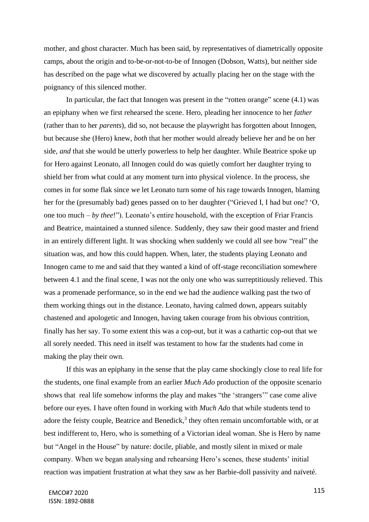mother, and ghost character. Much has been said, by representatives of diametrically opposite camps, about the origin and to-be-or-not-to-be of Innogen (Dobson, Watts), but neither side has described on the page what we discovered by actually placing her on the stage with the poignancy of this silenced mother.

In particular, the fact that Innogen was present in the "rotten orange" scene (4.1) was an epiphany when we first rehearsed the scene. Hero, pleading her innocence to her *father* (rather than to her *parents*), did so, not because the playwright has forgotten about Innogen, but because she (Hero) knew, *both* that her mother would already believe her and be on her side, *and* that she would be utterly powerless to help her daughter. While Beatrice spoke up for Hero against Leonato, all Innogen could do was quietly comfort her daughter trying to shield her from what could at any moment turn into physical violence. In the process, she comes in for some flak since we let Leonato turn some of his rage towards Innogen, blaming her for the (presumably bad) genes passed on to her daughter ("Grieved I, I had but one? 'O, one too much – *by thee*!"). Leonato's entire household, with the exception of Friar Francis and Beatrice, maintained a stunned silence. Suddenly, they saw their good master and friend in an entirely different light. It was shocking when suddenly we could all see how "real" the situation was, and how this could happen. When, later, the students playing Leonato and Innogen came to me and said that they wanted a kind of off-stage reconciliation somewhere between 4.1 and the final scene, I was not the only one who was surreptitiously relieved. This was a promenade performance, so in the end we had the audience walking past the two of them working things out in the distance. Leonato, having calmed down, appears suitably chastened and apologetic and Innogen, having taken courage from his obvious contrition, finally has her say. To some extent this was a cop-out, but it was a cathartic cop-out that we all sorely needed. This need in itself was testament to how far the students had come in making the play their own.

If this was an epiphany in the sense that the play came shockingly close to real life for the students, one final example from an earlier *Much Ado* production of the opposite scenario shows that real life somehow informs the play and makes "the 'strangers'" case come alive before our eyes. I have often found in working with *Much Ado* that while students tend to adore the feisty couple, Beatrice and Benedick,<sup>3</sup> they often remain uncomfortable with, or at best indifferent to, Hero, who is something of a Victorian ideal woman. She is Hero by name but "Angel in the House" by nature: docile, pliable, and mostly silent in mixed or male company. When we began analysing and rehearsing Hero's scenes, these students' initial reaction was impatient frustration at what they saw as her Barbie-doll passivity and naïveté.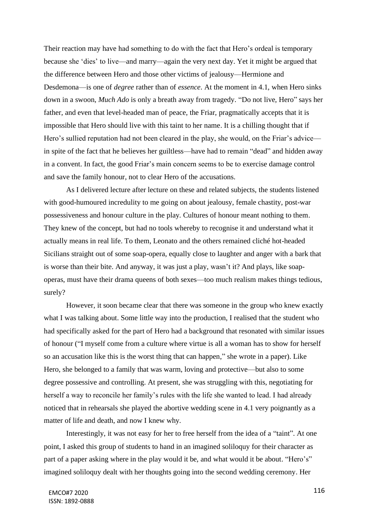Their reaction may have had something to do with the fact that Hero's ordeal is temporary because she 'dies' to live—and marry—again the very next day. Yet it might be argued that the difference between Hero and those other victims of jealousy—Hermione and Desdemona—is one of *degree* rather than of *essence*. At the moment in 4.1, when Hero sinks down in a swoon, *Much Ado* is only a breath away from tragedy. "Do not live, Hero" says her father, and even that level-headed man of peace, the Friar, pragmatically accepts that it is impossible that Hero should live with this taint to her name. It is a chilling thought that if Hero's sullied reputation had not been cleared in the play, she would, on the Friar's advice in spite of the fact that he believes her guiltless—have had to remain "dead" and hidden away in a convent. In fact, the good Friar's main concern seems to be to exercise damage control and save the family honour, not to clear Hero of the accusations.

As I delivered lecture after lecture on these and related subjects, the students listened with good-humoured incredulity to me going on about jealousy, female chastity, post-war possessiveness and honour culture in the play. Cultures of honour meant nothing to them. They knew of the concept, but had no tools whereby to recognise it and understand what it actually means in real life. To them, Leonato and the others remained cliché hot-headed Sicilians straight out of some soap-opera, equally close to laughter and anger with a bark that is worse than their bite. And anyway, it was just a play, wasn't it? And plays, like soapoperas, must have their drama queens of both sexes—too much realism makes things tedious, surely?

However, it soon became clear that there was someone in the group who knew exactly what I was talking about. Some little way into the production, I realised that the student who had specifically asked for the part of Hero had a background that resonated with similar issues of honour ("I myself come from a culture where virtue is all a woman has to show for herself so an accusation like this is the worst thing that can happen," she wrote in a paper). Like Hero, she belonged to a family that was warm, loving and protective—but also to some degree possessive and controlling. At present, she was struggling with this, negotiating for herself a way to reconcile her family's rules with the life she wanted to lead. I had already noticed that in rehearsals she played the abortive wedding scene in 4.1 very poignantly as a matter of life and death, and now I knew why.

Interestingly, it was not easy for her to free herself from the idea of a "taint". At one point, I asked this group of students to hand in an imagined soliloquy for their character as part of a paper asking where in the play would it be, and what would it be about. "Hero's" imagined soliloquy dealt with her thoughts going into the second wedding ceremony. Her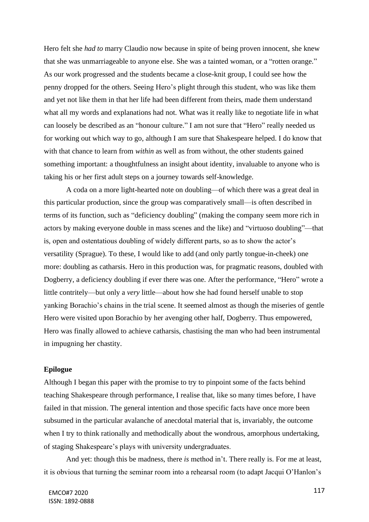Hero felt she *had to* marry Claudio now because in spite of being proven innocent, she knew that she was unmarriageable to anyone else. She was a tainted woman, or a "rotten orange." As our work progressed and the students became a close-knit group, I could see how the penny dropped for the others. Seeing Hero's plight through this student, who was like them and yet not like them in that her life had been different from theirs, made them understand what all my words and explanations had not. What was it really like to negotiate life in what can loosely be described as an "honour culture." I am not sure that "Hero" really needed us for working out which way to go, although I am sure that Shakespeare helped. I do know that with that chance to learn from *within* as well as from without, the other students gained something important: a thoughtfulness an insight about identity, invaluable to anyone who is taking his or her first adult steps on a journey towards self-knowledge.

A coda on a more light-hearted note on doubling—of which there was a great deal in this particular production, since the group was comparatively small—is often described in terms of its function, such as "deficiency doubling" (making the company seem more rich in actors by making everyone double in mass scenes and the like) and "virtuoso doubling"—that is, open and ostentatious doubling of widely different parts, so as to show the actor's versatility (Sprague). To these, I would like to add (and only partly tongue-in-cheek) one more: doubling as catharsis. Hero in this production was, for pragmatic reasons, doubled with Dogberry, a deficiency doubling if ever there was one. After the performance, "Hero" wrote a little contritely—but only a *very* little—about how she had found herself unable to stop yanking Borachio's chains in the trial scene. It seemed almost as though the miseries of gentle Hero were visited upon Borachio by her avenging other half, Dogberry. Thus empowered, Hero was finally allowed to achieve catharsis, chastising the man who had been instrumental in impugning her chastity.

### **Epilogue**

Although I began this paper with the promise to try to pinpoint some of the facts behind teaching Shakespeare through performance, I realise that, like so many times before, I have failed in that mission. The general intention and those specific facts have once more been subsumed in the particular avalanche of anecdotal material that is, invariably, the outcome when I try to think rationally and methodically about the wondrous, amorphous undertaking, of staging Shakespeare's plays with university undergraduates.

And yet: though this be madness, there *is* method in't. There really is. For me at least, it is obvious that turning the seminar room into a rehearsal room (to adapt Jacqui O'Hanlon's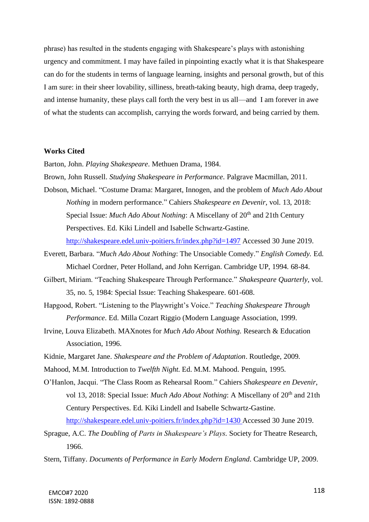phrase) has resulted in the students engaging with Shakespeare's plays with astonishing urgency and commitment. I may have failed in pinpointing exactly what it is that Shakespeare can do for the students in terms of language learning, insights and personal growth, but of this I am sure: in their sheer lovability, silliness, breath-taking beauty, high drama, deep tragedy, and intense humanity, these plays call forth the very best in us all—and I am forever in awe of what the students can accomplish, carrying the words forward, and being carried by them.

#### **Works Cited**

Barton, John. *Playing Shakespeare*. Methuen Drama, 1984.

- Brown, John Russell. *Studying Shakespeare in Performance*. Palgrave Macmillan, 2011.
- Dobson, Michael. "Costume Drama: Margaret, Innogen, and the problem of *Much Ado About Nothing* in modern performance." Cahiers *Shakespeare en Devenir*, vol. 13, 2018: Special Issue: *Much Ado About Nothing*: A Miscellany of 20<sup>th</sup> and 21th Century Perspectives. Ed. Kiki Lindell and Isabelle Schwartz-Gastine.

<http://shakespeare.edel.univ-poitiers.fr/index.php?id=1497> Accessed 30 June 2019.

- Everett, Barbara. "*Much Ado About Nothing*: The Unsociable Comedy." *English Comedy.* Ed. Michael Cordner, Peter Holland, and John Kerrigan. Cambridge UP, 1994. 68-84.
- Gilbert, Miriam. "Teaching Shakespeare Through Performance." *Shakespeare Quarterly*, vol. 35, no. 5, 1984: Special Issue: Teaching Shakespeare. 601-608.
- Hapgood, Robert. "Listening to the Playwright's Voice." *Teaching Shakespeare Through Performance*. Ed. Milla Cozart Riggio (Modern Language Association, 1999.
- Irvine, Louva Elizabeth. MAXnotes for *Much Ado About Nothing.* Research & Education Association, 1996.
- Kidnie, Margaret Jane. *Shakespeare and the Problem of Adaptation*. Routledge, 2009.
- Mahood, M.M. Introduction to *Twelfth Night*. Ed. M.M. Mahood. Penguin, 1995.
- O'Hanlon, Jacqui. "The Class Room as Rehearsal Room." Cahiers *Shakespeare en Devenir*, vol 13, 2018: Special Issue: *Much Ado About Nothing*: A Miscellany of 20<sup>th</sup> and 21th Century Perspectives. Ed. Kiki Lindell and Isabelle Schwartz-Gastine. <http://shakespeare.edel.univ-poitiers.fr/index.php?id=1430> Accessed 30 June 2019.
- Sprague, A.C. *The Doubling of Parts in Shakespeare's Plays.* Society for Theatre Research, 1966.
- Stern, Tiffany. *Documents of Performance in Early Modern England*. Cambridge UP, 2009.